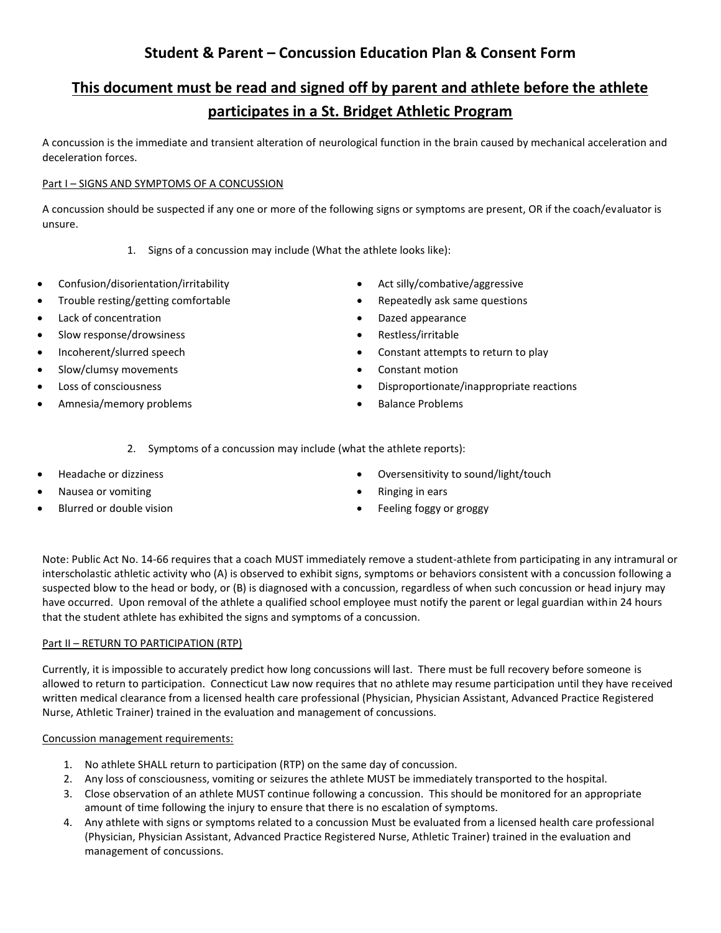## **Student & Parent – Concussion Education Plan & Consent Form**

# **This document must be read and signed off by parent and athlete before the athlete participates in a St. Bridget Athletic Program**

A concussion is the immediate and transient alteration of neurological function in the brain caused by mechanical acceleration and deceleration forces.

### Part I – SIGNS AND SYMPTOMS OF A CONCUSSION

A concussion should be suspected if any one or more of the following signs or symptoms are present, OR if the coach/evaluator is unsure.

- 1. Signs of a concussion may include (What the athlete looks like):
- Confusion/disorientation/irritability
- Trouble resting/getting comfortable
- Lack of concentration
- Slow response/drowsiness
- Incoherent/slurred speech
- Slow/clumsy movements
- Loss of consciousness
- Amnesia/memory problems
- Act silly/combative/aggressive
- Repeatedly ask same questions
- Dazed appearance
- Restless/irritable
- Constant attempts to return to play
- Constant motion
- Disproportionate/inappropriate reactions
- Balance Problems

2. Symptoms of a concussion may include (what the athlete reports):

- Headache or dizziness
- Nausea or vomiting
- Blurred or double vision
- Oversensitivity to sound/light/touch
- Ringing in ears
- Feeling foggy or groggy

Note: Public Act No. 14-66 requires that a coach MUST immediately remove a student-athlete from participating in any intramural or interscholastic athletic activity who (A) is observed to exhibit signs, symptoms or behaviors consistent with a concussion following a suspected blow to the head or body, or (B) is diagnosed with a concussion, regardless of when such concussion or head injury may have occurred. Upon removal of the athlete a qualified school employee must notify the parent or legal guardian within 24 hours that the student athlete has exhibited the signs and symptoms of a concussion.

#### Part II – RETURN TO PARTICIPATION (RTP)

Currently, it is impossible to accurately predict how long concussions will last. There must be full recovery before someone is allowed to return to participation. Connecticut Law now requires that no athlete may resume participation until they have received written medical clearance from a licensed health care professional (Physician, Physician Assistant, Advanced Practice Registered Nurse, Athletic Trainer) trained in the evaluation and management of concussions.

#### Concussion management requirements:

- 1. No athlete SHALL return to participation (RTP) on the same day of concussion.
- 2. Any loss of consciousness, vomiting or seizures the athlete MUST be immediately transported to the hospital.
- 3. Close observation of an athlete MUST continue following a concussion. This should be monitored for an appropriate amount of time following the injury to ensure that there is no escalation of symptoms.
- 4. Any athlete with signs or symptoms related to a concussion Must be evaluated from a licensed health care professional (Physician, Physician Assistant, Advanced Practice Registered Nurse, Athletic Trainer) trained in the evaluation and management of concussions.